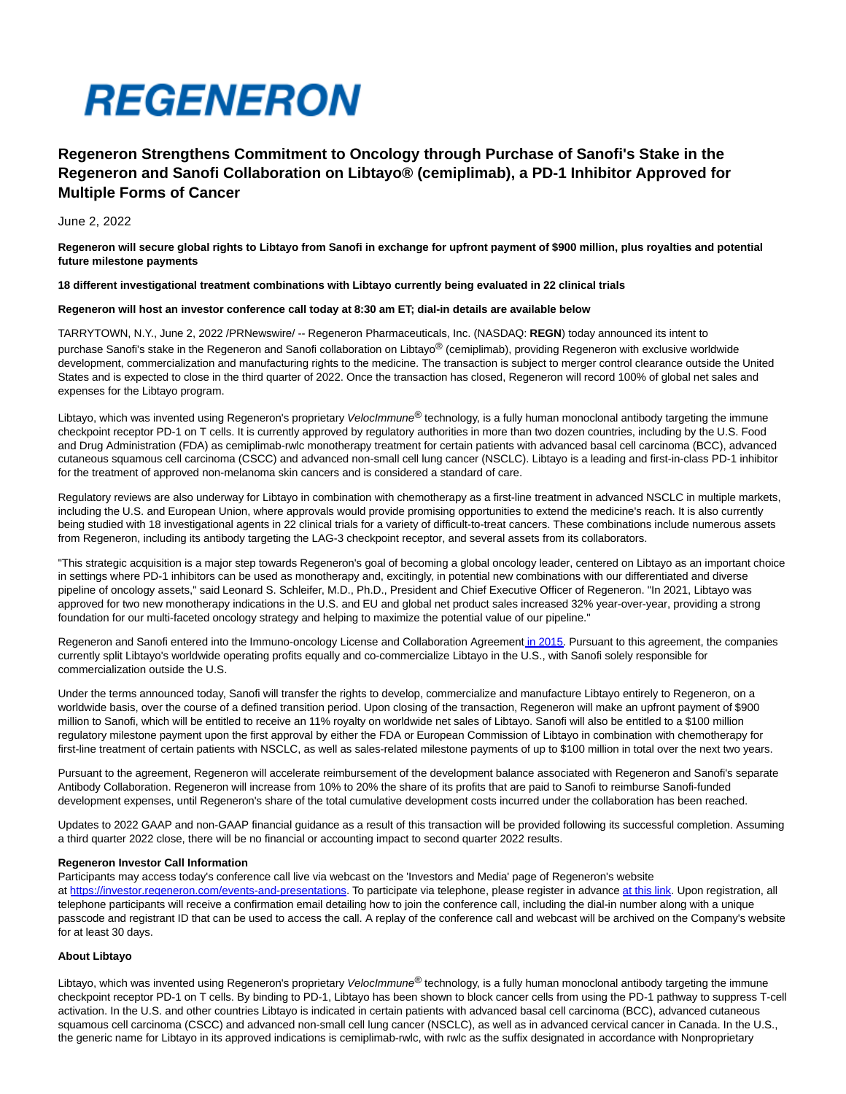

# **Regeneron Strengthens Commitment to Oncology through Purchase of Sanofi's Stake in the Regeneron and Sanofi Collaboration on Libtayo® (cemiplimab), a PD-1 Inhibitor Approved for Multiple Forms of Cancer**

June 2, 2022

**Regeneron will secure global rights to Libtayo from Sanofi in exchange for upfront payment of \$900 million, plus royalties and potential future milestone payments**

**18 different investigational treatment combinations with Libtayo currently being evaluated in 22 clinical trials**

#### **Regeneron will host an investor conference call today at 8:30 am ET; dial-in details are available below**

TARRYTOWN, N.Y., June 2, 2022 /PRNewswire/ -- Regeneron Pharmaceuticals, Inc. (NASDAQ: **REGN**) today announced its intent to purchase Sanofi's stake in the Regeneron and Sanofi collaboration on Libtayo® (cemiplimab), providing Regeneron with exclusive worldwide development, commercialization and manufacturing rights to the medicine. The transaction is subject to merger control clearance outside the United States and is expected to close in the third quarter of 2022. Once the transaction has closed, Regeneron will record 100% of global net sales and expenses for the Libtayo program.

Libtayo, which was invented using Regeneron's proprietary Veloclmmune<sup>®</sup> technology, is a fully human monoclonal antibody targeting the immune checkpoint receptor PD-1 on T cells. It is currently approved by regulatory authorities in more than two dozen countries, including by the U.S. Food and Drug Administration (FDA) as cemiplimab-rwlc monotherapy treatment for certain patients with advanced basal cell carcinoma (BCC), advanced cutaneous squamous cell carcinoma (CSCC) and advanced non-small cell lung cancer (NSCLC). Libtayo is a leading and first-in-class PD-1 inhibitor for the treatment of approved non-melanoma skin cancers and is considered a standard of care.

Regulatory reviews are also underway for Libtayo in combination with chemotherapy as a first-line treatment in advanced NSCLC in multiple markets, including the U.S. and European Union, where approvals would provide promising opportunities to extend the medicine's reach. It is also currently being studied with 18 investigational agents in 22 clinical trials for a variety of difficult-to-treat cancers. These combinations include numerous assets from Regeneron, including its antibody targeting the LAG-3 checkpoint receptor, and several assets from its collaborators.

"This strategic acquisition is a major step towards Regeneron's goal of becoming a global oncology leader, centered on Libtayo as an important choice in settings where PD-1 inhibitors can be used as monotherapy and, excitingly, in potential new combinations with our differentiated and diverse pipeline of oncology assets," said Leonard S. Schleifer, M.D., Ph.D., President and Chief Executive Officer of Regeneron. "In 2021, Libtayo was approved for two new monotherapy indications in the U.S. and EU and global net product sales increased 32% year-over-year, providing a strong foundation for our multi-faceted oncology strategy and helping to maximize the potential value of our pipeline."

Regeneron and Sanofi entered into the Immuno-oncology License and Collaboration Agreemen[t in 2015.](https://c212.net/c/link/?t=0&l=en&o=3553953-1&h=3789457486&u=https%3A%2F%2Finvestor.regeneron.com%2Fnews-releases%2Fnews-release-details%2Fregeneron-and-sanofi-launch-major-new-immuno-oncology&a=%C2%A0in+2015) Pursuant to this agreement, the companies currently split Libtayo's worldwide operating profits equally and co-commercialize Libtayo in the U.S., with Sanofi solely responsible for commercialization outside the U.S.

Under the terms announced today, Sanofi will transfer the rights to develop, commercialize and manufacture Libtayo entirely to Regeneron, on a worldwide basis, over the course of a defined transition period. Upon closing of the transaction, Regeneron will make an upfront payment of \$900 million to Sanofi, which will be entitled to receive an 11% royalty on worldwide net sales of Libtayo. Sanofi will also be entitled to a \$100 million regulatory milestone payment upon the first approval by either the FDA or European Commission of Libtayo in combination with chemotherapy for first-line treatment of certain patients with NSCLC, as well as sales-related milestone payments of up to \$100 million in total over the next two years.

Pursuant to the agreement, Regeneron will accelerate reimbursement of the development balance associated with Regeneron and Sanofi's separate Antibody Collaboration. Regeneron will increase from 10% to 20% the share of its profits that are paid to Sanofi to reimburse Sanofi-funded development expenses, until Regeneron's share of the total cumulative development costs incurred under the collaboration has been reached.

Updates to 2022 GAAP and non-GAAP financial guidance as a result of this transaction will be provided following its successful completion. Assuming a third quarter 2022 close, there will be no financial or accounting impact to second quarter 2022 results.

#### **Regeneron Investor Call Information**

Participants may access today's conference call live via webcast on the 'Investors and Media' page of Regeneron's website at https://investor.regeneron.com/events-and-presentations</u>. To participate via telephone, please register in advance [at this link.](https://c212.net/c/link/?t=0&l=en&o=3553953-1&h=825587428&u=http%3A%2F%2Fwww.directeventreg.com%2Fregistration%2Fevent%2F8276234&a=at+this%C2%A0link) Upon registration, all telephone participants will receive a confirmation email detailing how to join the conference call, including the dial-in number along with a unique passcode and registrant ID that can be used to access the call. A replay of the conference call and webcast will be archived on the Company's website for at least 30 days.

# **About Libtayo**

Libtayo, which was invented using Regeneron's proprietary Veloclmmune<sup>®</sup> technology, is a fully human monoclonal antibody targeting the immune checkpoint receptor PD-1 on T cells. By binding to PD-1, Libtayo has been shown to block cancer cells from using the PD-1 pathway to suppress T-cell activation. In the U.S. and other countries Libtayo is indicated in certain patients with advanced basal cell carcinoma (BCC), advanced cutaneous squamous cell carcinoma (CSCC) and advanced non-small cell lung cancer (NSCLC), as well as in advanced cervical cancer in Canada. In the U.S., the generic name for Libtayo in its approved indications is cemiplimab-rwlc, with rwlc as the suffix designated in accordance with Nonproprietary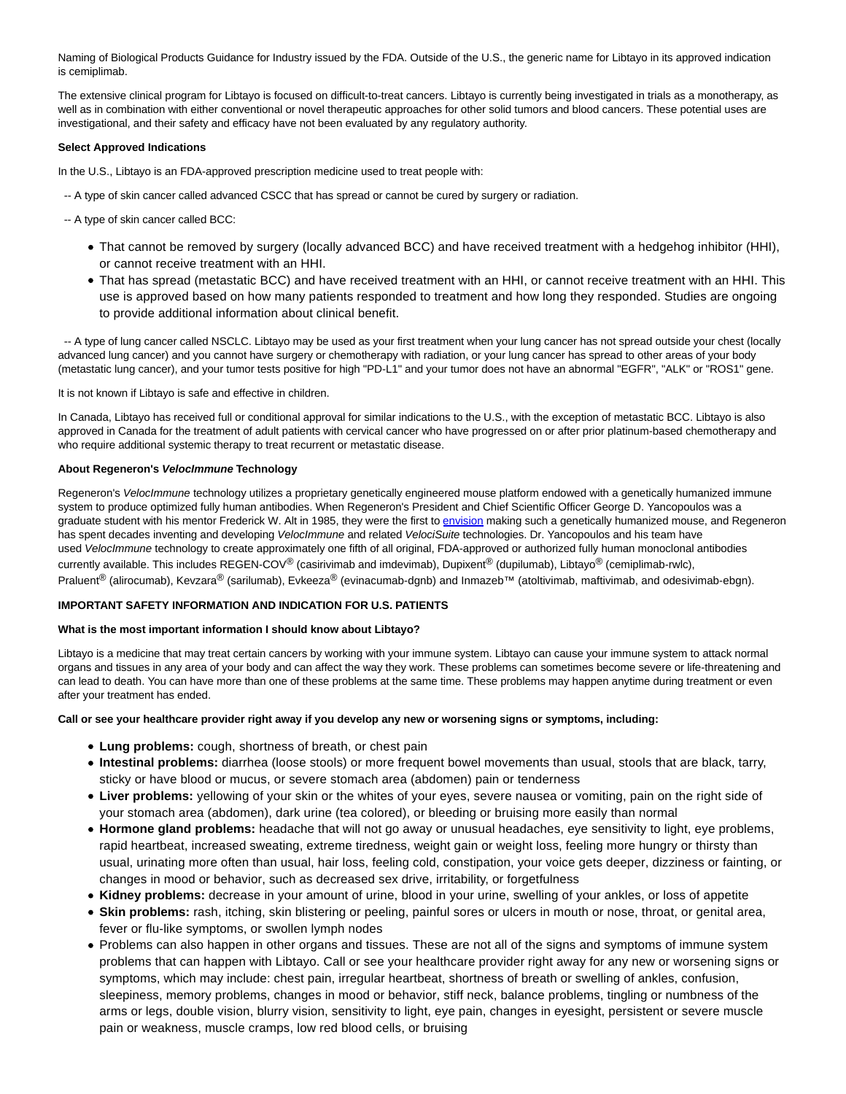Naming of Biological Products Guidance for Industry issued by the FDA. Outside of the U.S., the generic name for Libtayo in its approved indication is cemiplimab.

The extensive clinical program for Libtayo is focused on difficult-to-treat cancers. Libtayo is currently being investigated in trials as a monotherapy, as well as in combination with either conventional or novel therapeutic approaches for other solid tumors and blood cancers. These potential uses are investigational, and their safety and efficacy have not been evaluated by any regulatory authority.

# **Select Approved Indications**

In the U.S., Libtayo is an FDA-approved prescription medicine used to treat people with:

- -- A type of skin cancer called advanced CSCC that has spread or cannot be cured by surgery or radiation.
- -- A type of skin cancer called BCC:
	- That cannot be removed by surgery (locally advanced BCC) and have received treatment with a hedgehog inhibitor (HHI), or cannot receive treatment with an HHI.
	- That has spread (metastatic BCC) and have received treatment with an HHI, or cannot receive treatment with an HHI. This use is approved based on how many patients responded to treatment and how long they responded. Studies are ongoing to provide additional information about clinical benefit.

 -- A type of lung cancer called NSCLC. Libtayo may be used as your first treatment when your lung cancer has not spread outside your chest (locally advanced lung cancer) and you cannot have surgery or chemotherapy with radiation, or your lung cancer has spread to other areas of your body (metastatic lung cancer), and your tumor tests positive for high "PD-L1" and your tumor does not have an abnormal "EGFR", "ALK" or "ROS1" gene.

It is not known if Libtayo is safe and effective in children.

In Canada, Libtayo has received full or conditional approval for similar indications to the U.S., with the exception of metastatic BCC. Libtayo is also approved in Canada for the treatment of adult patients with cervical cancer who have progressed on or after prior platinum-based chemotherapy and who require additional systemic therapy to treat recurrent or metastatic disease.

#### **About Regeneron's VelocImmune Technology**

Regeneron's VelocImmune technology utilizes a proprietary genetically engineered mouse platform endowed with a genetically humanized immune system to produce optimized fully human antibodies. When Regeneron's President and Chief Scientific Officer George D. Yancopoulos was a graduate student with his mentor Frederick W. Alt in 1985, they were the first to [envision m](https://c212.net/c/link/?t=0&l=en&o=3553953-1&h=2350527346&u=https%3A%2F%2Fc212.net%2Fc%2Flink%2F%3Ft%3D0%26l%3Den%26o%3D3387026-1%26h%3D1560991416%26u%3Dhttps%253A%252F%252Fwww.sciencedirect.com%252Fscience%252Farticle%252Fabs%252Fpii%252F0168952585900897%26a%3Denvision&a=envision)aking such a genetically humanized mouse, and Regeneron has spent decades inventing and developing VelocImmune and related VelociSuite technologies. Dr. Yancopoulos and his team have used VelocImmune technology to create approximately one fifth of all original, FDA-approved or authorized fully human monoclonal antibodies currently available. This includes REGEN-COV<sup>®</sup> (casirivimab and imdevimab), Dupixent<sup>®</sup> (dupilumab), Libtayo<sup>®</sup> (cemiplimab-rwlc), Praluent<sup>®</sup> (alirocumab), Kevzara® (sarilumab), Evkeeza® (evinacumab-dgnb) and Inmazeb™ (atoltivimab, maftivimab, and odesivimab-ebgn).

# **IMPORTANT SAFETY INFORMATION AND INDICATION FOR U.S. PATIENTS**

#### **What is the most important information I should know about Libtayo?**

Libtayo is a medicine that may treat certain cancers by working with your immune system. Libtayo can cause your immune system to attack normal organs and tissues in any area of your body and can affect the way they work. These problems can sometimes become severe or life-threatening and can lead to death. You can have more than one of these problems at the same time. These problems may happen anytime during treatment or even after your treatment has ended.

# **Call or see your healthcare provider right away if you develop any new or worsening signs or symptoms, including:**

- **Lung problems:** cough, shortness of breath, or chest pain
- **Intestinal problems:** diarrhea (loose stools) or more frequent bowel movements than usual, stools that are black, tarry, sticky or have blood or mucus, or severe stomach area (abdomen) pain or tenderness
- **Liver problems:** yellowing of your skin or the whites of your eyes, severe nausea or vomiting, pain on the right side of your stomach area (abdomen), dark urine (tea colored), or bleeding or bruising more easily than normal
- **Hormone gland problems:** headache that will not go away or unusual headaches, eye sensitivity to light, eye problems, rapid heartbeat, increased sweating, extreme tiredness, weight gain or weight loss, feeling more hungry or thirsty than usual, urinating more often than usual, hair loss, feeling cold, constipation, your voice gets deeper, dizziness or fainting, or changes in mood or behavior, such as decreased sex drive, irritability, or forgetfulness
- **Kidney problems:** decrease in your amount of urine, blood in your urine, swelling of your ankles, or loss of appetite
- **Skin problems:** rash, itching, skin blistering or peeling, painful sores or ulcers in mouth or nose, throat, or genital area, fever or flu-like symptoms, or swollen lymph nodes
- Problems can also happen in other organs and tissues. These are not all of the signs and symptoms of immune system problems that can happen with Libtayo. Call or see your healthcare provider right away for any new or worsening signs or symptoms, which may include: chest pain, irregular heartbeat, shortness of breath or swelling of ankles, confusion, sleepiness, memory problems, changes in mood or behavior, stiff neck, balance problems, tingling or numbness of the arms or legs, double vision, blurry vision, sensitivity to light, eye pain, changes in eyesight, persistent or severe muscle pain or weakness, muscle cramps, low red blood cells, or bruising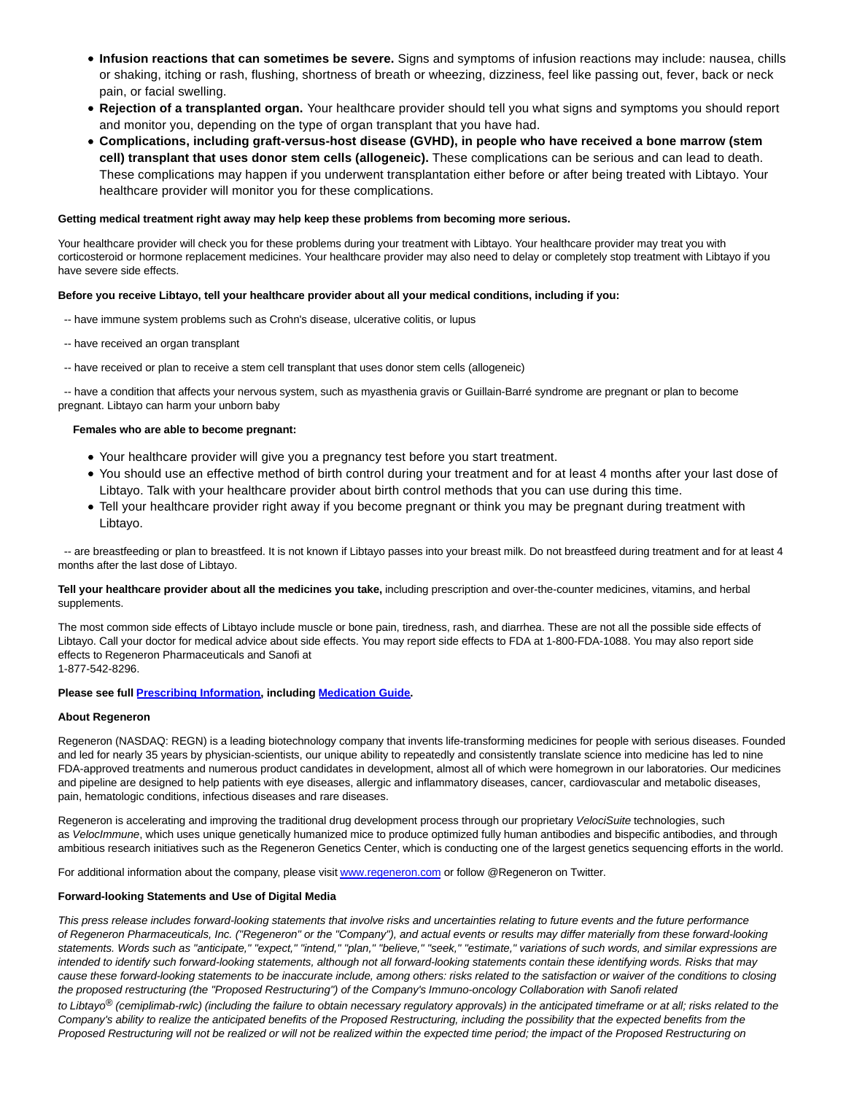- **Infusion reactions that can sometimes be severe.** Signs and symptoms of infusion reactions may include: nausea, chills or shaking, itching or rash, flushing, shortness of breath or wheezing, dizziness, feel like passing out, fever, back or neck pain, or facial swelling.
- **Rejection of a transplanted organ.** Your healthcare provider should tell you what signs and symptoms you should report and monitor you, depending on the type of organ transplant that you have had.
- **Complications, including graft-versus-host disease (GVHD), in people who have received a bone marrow (stem cell) transplant that uses donor stem cells (allogeneic).** These complications can be serious and can lead to death. These complications may happen if you underwent transplantation either before or after being treated with Libtayo. Your healthcare provider will monitor you for these complications.

# **Getting medical treatment right away may help keep these problems from becoming more serious.**

Your healthcare provider will check you for these problems during your treatment with Libtayo. Your healthcare provider may treat you with corticosteroid or hormone replacement medicines. Your healthcare provider may also need to delay or completely stop treatment with Libtayo if you have severe side effects.

#### **Before you receive Libtayo, tell your healthcare provider about all your medical conditions, including if you:**

- -- have immune system problems such as Crohn's disease, ulcerative colitis, or lupus
- -- have received an organ transplant
- -- have received or plan to receive a stem cell transplant that uses donor stem cells (allogeneic)

 -- have a condition that affects your nervous system, such as myasthenia gravis or Guillain-Barré syndrome are pregnant or plan to become pregnant. Libtayo can harm your unborn baby

### **Females who are able to become pregnant:**

- Your healthcare provider will give you a pregnancy test before you start treatment.
- You should use an effective method of birth control during your treatment and for at least 4 months after your last dose of Libtayo. Talk with your healthcare provider about birth control methods that you can use during this time.
- Tell your healthcare provider right away if you become pregnant or think you may be pregnant during treatment with Libtayo.

 -- are breastfeeding or plan to breastfeed. It is not known if Libtayo passes into your breast milk. Do not breastfeed during treatment and for at least 4 months after the last dose of Libtayo.

# **Tell your healthcare provider about all the medicines you take,** including prescription and over-the-counter medicines, vitamins, and herbal supplements.

The most common side effects of Libtayo include muscle or bone pain, tiredness, rash, and diarrhea. These are not all the possible side effects of Libtayo. Call your doctor for medical advice about side effects. You may report side effects to FDA at 1-800-FDA-1088. You may also report side effects to Regeneron Pharmaceuticals and Sanofi at 1-877-542-8296.

# **Please see full [Prescribing Information,](https://c212.net/c/link/?t=0&l=en&o=3553953-1&h=1436078187&u=https%3A%2F%2Fwww.regeneron.com%2Fsites%2Fdefault%2Ffiles%2FLibtayo_FPI.pdf&a=Prescribing+Information) including [Medication Guide.](https://c212.net/c/link/?t=0&l=en&o=3553953-1&h=1170789867&u=https%3A%2F%2Fwww.regeneron.com%2Fsites%2Fdefault%2Ffiles%2Fx1216(3)a.pdf&a=Medication+Guide)**

#### **About Regeneron**

Regeneron (NASDAQ: REGN) is a leading biotechnology company that invents life-transforming medicines for people with serious diseases. Founded and led for nearly 35 years by physician-scientists, our unique ability to repeatedly and consistently translate science into medicine has led to nine FDA-approved treatments and numerous product candidates in development, almost all of which were homegrown in our laboratories. Our medicines and pipeline are designed to help patients with eye diseases, allergic and inflammatory diseases, cancer, cardiovascular and metabolic diseases, pain, hematologic conditions, infectious diseases and rare diseases.

Regeneron is accelerating and improving the traditional drug development process through our proprietary VelociSuite technologies, such as VelocImmune, which uses unique genetically humanized mice to produce optimized fully human antibodies and bispecific antibodies, and through ambitious research initiatives such as the Regeneron Genetics Center, which is conducting one of the largest genetics sequencing efforts in the world.

For additional information about the company, please visi[t www.regeneron.com o](https://c212.net/c/link/?t=0&l=en&o=3553953-1&h=3649902169&u=https%3A%2F%2Fc212.net%2Fc%2Flink%2F%3Ft%3D0%26l%3Den%26o%3D3397793-1%26h%3D695290165%26u%3Dhttp%253A%252F%252Fwww.regeneron.com%252F%26a%3Dwww.regeneron.com&a=www.regeneron.com)r follow @Regeneron on Twitter.

#### **Forward-looking Statements and Use of Digital Media**

This press release includes forward-looking statements that involve risks and uncertainties relating to future events and the future performance of Regeneron Pharmaceuticals, Inc. ("Regeneron" or the "Company"), and actual events or results may differ materially from these forward-looking statements. Words such as "anticipate," "expect," "intend," "plan," "believe," "seek," "estimate," variations of such words, and similar expressions are intended to identify such forward-looking statements, although not all forward-looking statements contain these identifying words. Risks that may cause these forward-looking statements to be inaccurate include, among others: risks related to the satisfaction or waiver of the conditions to closing the proposed restructuring (the "Proposed Restructuring") of the Company's Immuno-oncology Collaboration with Sanofi related

to Libtayo<sup>®</sup> (cemiplimab-rwlc) (including the failure to obtain necessary regulatory approvals) in the anticipated timeframe or at all; risks related to the Company's ability to realize the anticipated benefits of the Proposed Restructuring, including the possibility that the expected benefits from the Proposed Restructuring will not be realized or will not be realized within the expected time period; the impact of the Proposed Restructuring on